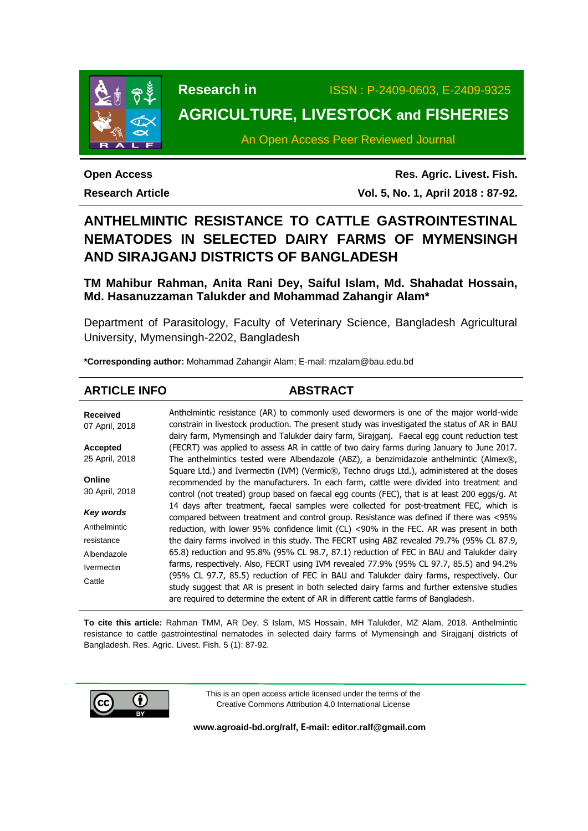

**Research in** ISSN : P-2409-0603, E-2409-9325

# **AGRICULTURE, LIVESTOCK and FISHERIES**

An Open Access Peer Reviewed Journal

**Open Access Research Article**

**Res. Agric. Livest. Fish. Vol. 5, No. 1, April 2018 : 87-92.**

# **ANTHELMINTIC RESISTANCE TO CATTLE GASTROINTESTINAL NEMATODES IN SELECTED DAIRY FARMS OF MYMENSINGH AND SIRAJGANJ DISTRICTS OF BANGLADESH**

**TM Mahibur Rahman, Anita Rani Dey, Saiful Islam, Md. Shahadat Hossain, Md. Hasanuzzaman Talukder and Mohammad Zahangir Alam\***

Department of Parasitology, Faculty of Veterinary Science, Bangladesh Agricultural University, Mymensingh-2202, Bangladesh

**\*Corresponding author:** Mohammad Zahangir Alam; E-mail: mzalam@bau.edu.bd

## **ARTICLE INFO ABSTRACT**

**Received** 07 April, 2018 **Accepted** 25 April, 2018 **Online** 30 April, 2018 *Key words* Anthelmintic resistance Albendazole Ivermectin **Cattle** Anthelmintic resistance (AR) to commonly used dewormers is one of the major world-wide constrain in livestock production. The present study was investigated the status of AR in BAU dairy farm, Mymensingh and Talukder dairy farm, Sirajganj. Faecal egg count reduction test (FECRT) was applied to assess AR in cattle of two dairy farms during January to June 2017. The anthelmintics tested were Albendazole (ABZ), a benzimidazole anthelmintic (Almex®, Square Ltd.) and Ivermectin (IVM) (Vermic®, Techno drugs Ltd.), administered at the doses recommended by the manufacturers. In each farm, cattle were divided into treatment and control (not treated) group based on faecal egg counts (FEC), that is at least 200 eggs/g. At 14 days after treatment, faecal samples were collected for post-treatment FEC, which is compared between treatment and control group. Resistance was defined if there was <95% reduction, with lower 95% confidence limit (CL) <90% in the FEC. AR was present in both the dairy farms involved in this study. The FECRT using ABZ revealed 79.7% (95% CL 87.9, 65.8) reduction and 95.8% (95% CL 98.7, 87.1) reduction of FEC in BAU and Talukder dairy farms, respectively. Also, FECRT using IVM revealed 77.9% (95% CL 97.7, 85.5) and 94.2% (95% CL 97.7, 85.5) reduction of FEC in BAU and Talukder dairy farms, respectively. Our study suggest that AR is present in both selected dairy farms and further extensive studies are required to determine the extent of AR in different cattle farms of Bangladesh.

**To cite this article:** Rahman TMM, AR Dey, S Islam, MS Hossain, MH Talukder, MZ Alam, 2018. Anthelmintic resistance to cattle gastrointestinal nematodes in selected dairy farms of Mymensingh and Sirajganj districts of Bangladesh. Res. Agric. Livest. Fish. 5 (1): 87-92.



This is an open access article licensed under the terms of the Creative Commons Attribution 4.0 International License

**[www.agroaid-bd.org/ralf,](http://www.agroaid-bd.org/ralf) E-mail: [editor.ralf@gmail.com](mailto:editor.ralf@gmail.com)**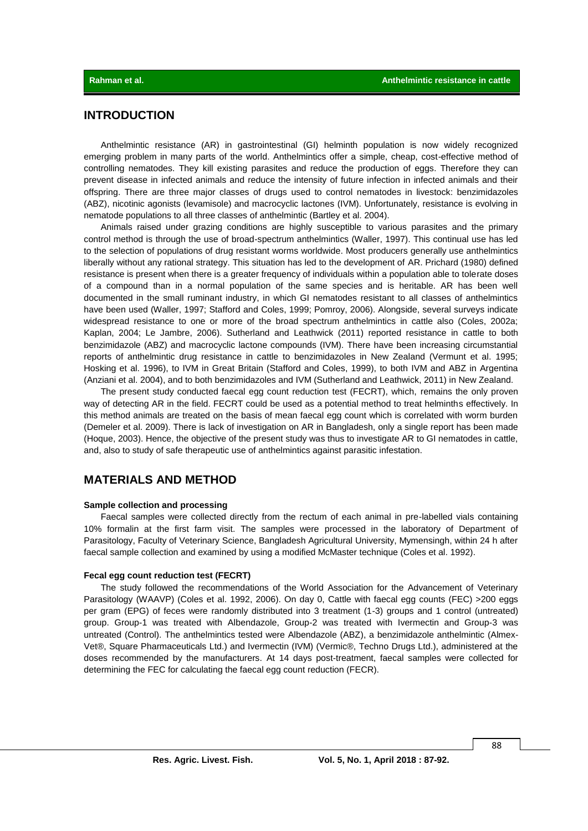## **INTRODUCTION**

Anthelmintic resistance (AR) in gastrointestinal (GI) helminth population is now widely recognized emerging problem in many parts of the world. Anthelmintics offer a simple, cheap, cost-effective method of controlling nematodes. They kill existing parasites and reduce the production of eggs. Therefore they can prevent disease in infected animals and reduce the intensity of future infection in infected animals and their offspring. There are three major classes of drugs used to control nematodes in livestock: benzimidazoles (ABZ), nicotinic agonists (levamisole) and macrocyclic lactones (IVM). Unfortunately, resistance is evolving in nematode populations to all three classes of anthelmintic (Bartley et al. 2004).

Animals raised under grazing conditions are highly susceptible to various parasites and the primary control method is through the use of broad-spectrum anthelmintics (Waller, 1997). This continual use has led to the selection of populations of drug resistant worms worldwide. Most producers generally use anthelmintics liberally without any rational strategy. This situation has led to the development of AR. Prichard (1980) defined resistance is present when there is a greater frequency of individuals within a population able to tolerate doses of a compound than in a normal population of the same species and is heritable. AR has been well documented in the small ruminant industry, in which GI nematodes resistant to all classes of anthelmintics have been used (Waller, 1997; Stafford and Coles, 1999; Pomroy, 2006). Alongside, several surveys indicate widespread resistance to one or more of the broad spectrum anthelmintics in cattle also (Coles, 2002a; Kaplan, 2004; Le Jambre, 2006). Sutherland and Leathwick (2011) reported resistance in cattle to both benzimidazole (ABZ) and macrocyclic lactone compounds (IVM). There have been increasing circumstantial reports of anthelmintic drug resistance in cattle to benzimidazoles in New Zealand (Vermunt et al. 1995; Hosking et al. 1996), to IVM in Great Britain (Stafford and Coles, 1999), to both IVM and ABZ in Argentina (Anziani et al. 2004), and to both benzimidazoles and IVM (Sutherland and Leathwick, 2011) in New Zealand.

The present study conducted faecal egg count reduction test (FECRT), which, remains the only proven way of detecting AR in the field. FECRT could be used as a potential method to treat helminths effectively. In this method animals are treated on the basis of mean faecal egg count which is correlated with worm burden (Demeler et al. 2009). There is lack of investigation on AR in Bangladesh, only a single report has been made (Hoque, 2003). Hence, the objective of the present study was thus to investigate AR to GI nematodes in cattle, and, also to study of safe therapeutic use of anthelmintics against parasitic infestation.

## **MATERIALS AND METHOD**

#### **Sample collection and processing**

Faecal samples were collected directly from the rectum of each animal in pre-labelled vials containing 10% formalin at the first farm visit. The samples were processed in the laboratory of Department of Parasitology, Faculty of Veterinary Science, Bangladesh Agricultural University, Mymensingh, within 24 h after faecal sample collection and examined by using a modified McMaster technique (Coles et al. 1992).

#### **Fecal egg count reduction test (FECRT)**

The study followed the recommendations of the World Association for the Advancement of Veterinary Parasitology (WAAVP) (Coles et al. 1992, 2006). On day 0, Cattle with faecal egg counts (FEC) >200 eggs per gram (EPG) of feces were randomly distributed into 3 treatment (1-3) groups and 1 control (untreated) group. Group-1 was treated with Albendazole, Group-2 was treated with Ivermectin and Group-3 was untreated (Control). The anthelmintics tested were Albendazole (ABZ), a benzimidazole anthelmintic (Almex-Vet®, Square Pharmaceuticals Ltd.) and Ivermectin (IVM) (Vermic®, Techno Drugs Ltd.), administered at the doses recommended by the manufacturers. At 14 days post-treatment, faecal samples were collected for determining the FEC for calculating the faecal egg count reduction (FECR).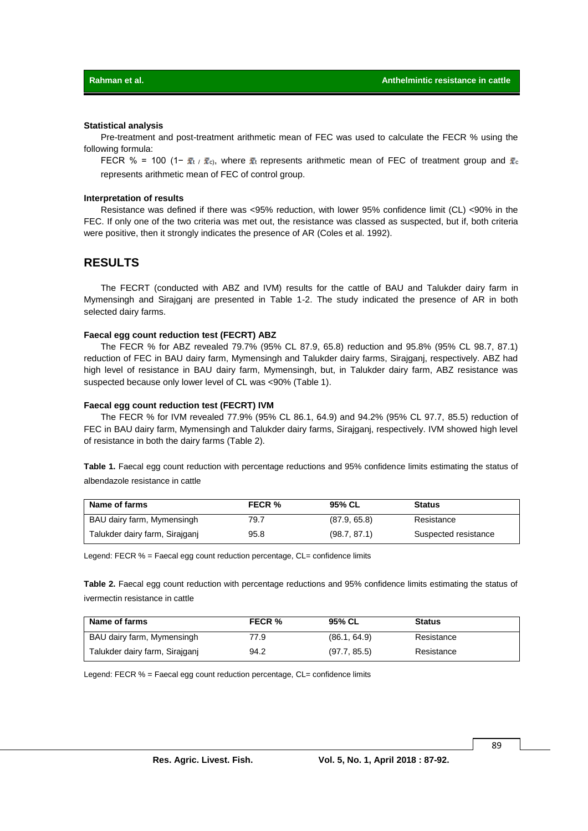#### **Statistical analysis**

Pre-treatment and post-treatment arithmetic mean of FEC was used to calculate the FECR % using the following formula:

FECR % = 100 (1−  $\bar{x}_t$  /  $\bar{x}_0$ , where  $\bar{x}_t$  represents arithmetic mean of FEC of treatment group and  $\bar{x}_c$ represents arithmetic mean of FEC of control group.

#### **Interpretation of results**

Resistance was defined if there was <95% reduction, with lower 95% confidence limit (CL) <90% in the FEC. If only one of the two criteria was met out, the resistance was classed as suspected, but if, both criteria were positive, then it strongly indicates the presence of AR (Coles et al. 1992).

## **RESULTS**

The FECRT (conducted with ABZ and IVM) results for the cattle of BAU and Talukder dairy farm in Mymensingh and Sirajganj are presented in Table 1-2. The study indicated the presence of AR in both selected dairy farms.

#### **Faecal egg count reduction test (FECRT) ABZ**

The FECR % for ABZ revealed 79.7% (95% CL 87.9, 65.8) reduction and 95.8% (95% CL 98.7, 87.1) reduction of FEC in BAU dairy farm, Mymensingh and Talukder dairy farms, Sirajganj, respectively. ABZ had high level of resistance in BAU dairy farm, Mymensingh, but, in Talukder dairy farm, ABZ resistance was suspected because only lower level of CL was <90% (Table 1).

### **Faecal egg count reduction test (FECRT) IVM**

The FECR % for IVM revealed 77.9% (95% CL 86.1, 64.9) and 94.2% (95% CL 97.7, 85.5) reduction of FEC in BAU dairy farm, Mymensingh and Talukder dairy farms, Sirajganj, respectively. IVM showed high level of resistance in both the dairy farms (Table 2).

**Table 1.** Faecal egg count reduction with percentage reductions and 95% confidence limits estimating the status of albendazole resistance in cattle

| Name of farms                  | FECR % | 95% CL       | <b>Status</b>        |
|--------------------------------|--------|--------------|----------------------|
| BAU dairy farm, Mymensingh     | 79.7   | (87.9, 65.8) | Resistance           |
| Talukder dairy farm, Sirajganj | 95.8   | (98.7, 87.1) | Suspected resistance |

Legend: FECR % = Faecal egg count reduction percentage, CL= confidence limits

**Table 2.** Faecal egg count reduction with percentage reductions and 95% confidence limits estimating the status of ivermectin resistance in cattle

| Name of farms                  | FECR % | 95% CL       | <b>Status</b> |
|--------------------------------|--------|--------------|---------------|
| BAU dairy farm, Mymensingh     | 77.9   | (86.1, 64.9) | Resistance    |
| Talukder dairy farm, Sirajganj | 94.2   | (97.7, 85.5) | Resistance    |

Legend: FECR % = Faecal egg count reduction percentage, CL= confidence limits

89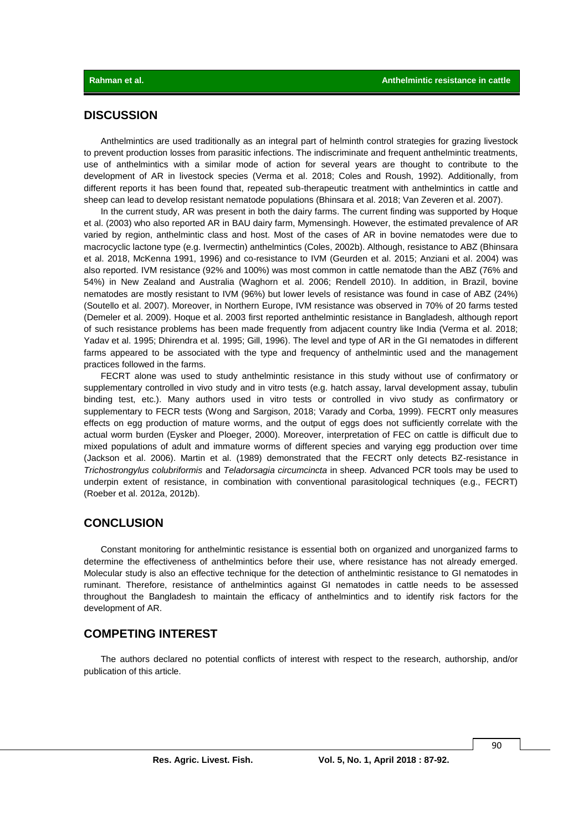## **DISCUSSION**

Anthelmintics are used traditionally as an integral part of helminth control strategies for grazing livestock to prevent production losses from parasitic infections. The indiscriminate and frequent anthelmintic treatments, use of anthelmintics with a similar mode of action for several years are thought to contribute to the development of AR in livestock species (Verma et al. 2018; Coles and Roush, 1992). Additionally, from different reports it has been found that, repeated sub-therapeutic treatment with anthelmintics in cattle and sheep can lead to develop resistant nematode populations (Bhinsara et al. 2018; Van Zeveren et al. 2007).

In the current study, AR was present in both the dairy farms. The current finding was supported by Hoque et al. (2003) who also reported AR in BAU dairy farm, Mymensingh. However, the estimated prevalence of AR varied by region, anthelmintic class and host. Most of the cases of AR in bovine nematodes were due to macrocyclic lactone type (e.g. Ivermectin) anthelmintics (Coles, 2002b). Although, resistance to ABZ (Bhinsara et al. 2018, McKenna 1991, 1996) and co-resistance to IVM (Geurden et al. 2015; Anziani et al. 2004) was also reported. IVM resistance (92% and 100%) was most common in cattle nematode than the ABZ (76% and 54%) in New Zealand and Australia (Waghorn et al. 2006; Rendell 2010). In addition, in Brazil, bovine nematodes are mostly resistant to IVM (96%) but lower levels of resistance was found in case of ABZ (24%) (Soutello et al. 2007). Moreover, in Northern Europe, IVM resistance was observed in 70% of 20 farms tested (Demeler et al. 2009). Hoque et al. 2003 first reported anthelmintic resistance in Bangladesh, although report of such resistance problems has been made frequently from adjacent country like India (Verma et al. 2018; Yadav et al. 1995; Dhirendra et al. 1995; Gill, 1996). The level and type of AR in the GI nematodes in different farms appeared to be associated with the type and frequency of anthelmintic used and the management practices followed in the farms.

FECRT alone was used to study anthelmintic resistance in this study without use of confirmatory or supplementary controlled in vivo study and in vitro tests (e.g. hatch assay, larval development assay, tubulin binding test, etc.). Many authors used in vitro tests or controlled in vivo study as confirmatory or supplementary to FECR tests (Wong and Sargison, 2018; Varady and Corba, 1999). FECRT only measures effects on egg production of mature worms, and the output of eggs does not sufficiently correlate with the actual worm burden (Eysker and Ploeger, 2000). Moreover, interpretation of FEC on cattle is difficult due to mixed populations of adult and immature worms of different species and varying egg production over time (Jackson et al. 2006). Martin et al. (1989) demonstrated that the FECRT only detects BZ-resistance in *Trichostrongylus colubriformis* and *Teladorsagia circumcincta* in sheep. Advanced PCR tools may be used to underpin extent of resistance, in combination with conventional parasitological techniques (e.g., FECRT) (Roeber et al. 2012a, 2012b).

## **CONCLUSION**

Constant monitoring for anthelmintic resistance is essential both on organized and unorganized farms to determine the effectiveness of anthelmintics before their use, where resistance has not already emerged. Molecular study is also an effective technique for the detection of anthelmintic resistance to GI nematodes in ruminant. Therefore, resistance of anthelmintics against GI nematodes in cattle needs to be assessed throughout the Bangladesh to maintain the efficacy of anthelmintics and to identify risk factors for the development of AR.

## **COMPETING INTEREST**

The authors declared no potential conflicts of interest with respect to the research, authorship, and/or publication of this article.

90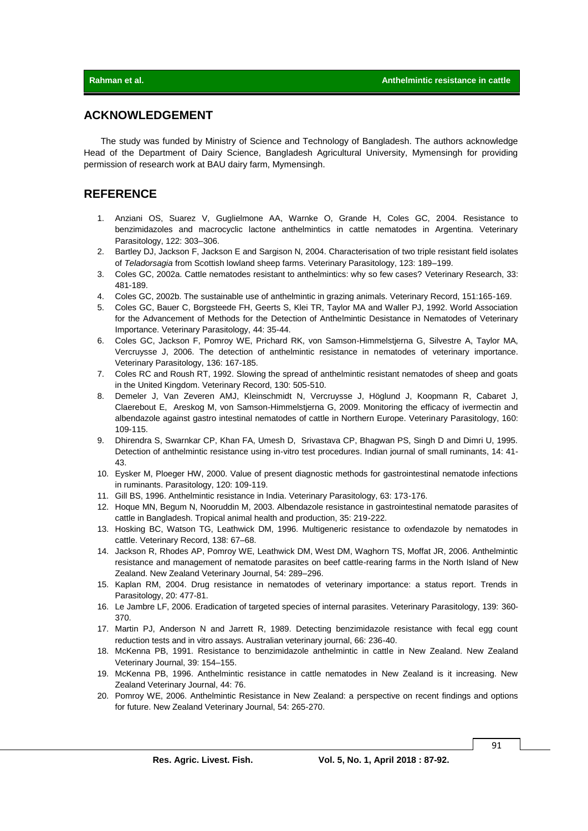## **ACKNOWLEDGEMENT**

The study was funded by Ministry of Science and Technology of Bangladesh. The authors acknowledge Head of the Department of Dairy Science, Bangladesh Agricultural University, Mymensingh for providing permission of research work at BAU dairy farm, Mymensingh.

## **REFERENCE**

- 1. Anziani OS, Suarez V, Guglielmone AA, Warnke O, Grande H, Coles GC, 2004. Resistance to benzimidazoles and macrocyclic lactone anthelmintics in cattle nematodes in Argentina. Veterinary Parasitology, 122: 303–306.
- 2. Bartley DJ, Jackson F, Jackson E and Sargison N, 2004. Characterisation of two triple resistant field isolates of *Teladorsagia* from Scottish lowland sheep farms. Veterinary Parasitology, 123: 189–199.
- 3. Coles GC, 2002a. Cattle nematodes resistant to anthelmintics: why so few cases? Veterinary Research, 33: 481-189.
- 4. Coles GC, 2002b. The sustainable use of anthelmintic in grazing animals. Veterinary Record, 151:165-169.
- 5. Coles GC, Bauer C, Borgsteede FH, Geerts S, Klei TR, Taylor MA and Waller PJ, 1992. World Association for the Advancement of Methods for the Detection of Anthelmintic Desistance in Nematodes of Veterinary Importance. Veterinary Parasitology, 44: 35-44.
- 6. Coles GC, Jackson F, Pomroy WE, Prichard RK, von Samson-Himmelstjerna G, Silvestre A, Taylor MA, Vercruysse J, 2006. The detection of anthelmintic resistance in nematodes of veterinary importance. Veterinary Parasitology, 136: 167-185.
- 7. Coles RC and Roush RT, 1992. Slowing the spread of anthelmintic resistant nematodes of sheep and goats in the United Kingdom. Veterinary Record, 130: 505-510.
- 8. Demeler J, Van Zeveren AMJ, Kleinschmidt N, Vercruysse J, Höglund J, Koopmann R, Cabaret J, Claerebout E, Areskog M, von Samson-Himmelstjerna G, 2009. Monitoring the efficacy of ivermectin and albendazole against gastro intestinal nematodes of cattle in Northern Europe. Veterinary Parasitology, 160: 109-115.
- 9. Dhirendra S, Swarnkar CP, Khan FA, Umesh D, Srivastava CP, Bhagwan PS, Singh D and Dimri U, 1995. Detection of anthelmintic resistance using in-vitro test procedures. Indian journal of small ruminants, 14: 41-43.
- 10. Eysker M, Ploeger HW, 2000. Value of present diagnostic methods for gastrointestinal nematode infections in ruminants. Parasitology, 120: 109-119.
- 11. Gill BS, 1996. Anthelmintic resistance in India. Veterinary Parasitology, 63: 173-176.
- 12. Hoque MN, Begum N, Nooruddin M, 2003. Albendazole resistance in gastrointestinal nematode parasites of cattle in Bangladesh. Tropical animal health and production, 35: 219-222.
- 13. Hosking BC, Watson TG, Leathwick DM, 1996. Multigeneric resistance to oxfendazole by nematodes in cattle. Veterinary Record, 138: 67–68.
- 14. Jackson R, Rhodes AP, Pomroy WE, Leathwick DM, West DM, Waghorn TS, Moffat JR, 2006. Anthelmintic resistance and management of nematode parasites on beef cattle-rearing farms in the North Island of New Zealand. New Zealand Veterinary Journal, 54: 289–296.
- 15. Kaplan RM, 2004. Drug resistance in nematodes of veterinary importance: a status report. Trends in Parasitology, 20: 477-81.
- 16. Le Jambre LF, 2006. Eradication of targeted species of internal parasites. Veterinary Parasitology, 139: 360- 370.
- 17. Martin PJ, Anderson N and Jarrett R, 1989. Detecting benzimidazole resistance with fecal egg count reduction tests and in vitro assays. Australian veterinary journal, 66: 236-40.
- 18. McKenna PB, 1991. Resistance to benzimidazole anthelmintic in cattle in New Zealand. New Zealand Veterinary Journal, 39: 154–155.
- 19. McKenna PB, 1996. Anthelmintic resistance in cattle nematodes in New Zealand is it increasing. New Zealand Veterinary Journal, 44: 76.
- 20. Pomroy WE, 2006. Anthelmintic Resistance in New Zealand: a perspective on recent findings and options for future. New Zealand Veterinary Journal, 54: 265-270.